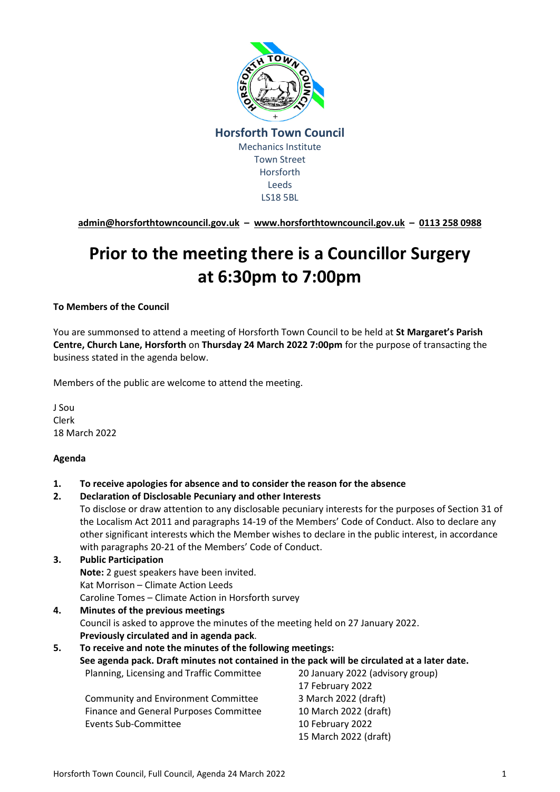

**[admin@horsforthtowncouncil.gov.uk](mailto:admin@horsforthtowncouncil.gov.uk) – [www.horsforthtowncouncil.gov.uk](http://www.horsforthtowncouncil.gov.uk/) – 0113 258 0988**

# **Prior to the meeting there is a Councillor Surgery at 6:30pm to 7:00pm**

#### **To Members of the Council**

You are summonsed to attend a meeting of Horsforth Town Council to be held at **St Margaret's Parish Centre, Church Lane, Horsforth** on **Thursday 24 March 2022 7:00pm** for the purpose of transacting the business stated in the agenda below.

Members of the public are welcome to attend the meeting.

J Sou Clerk 18 March 2022

#### **Agenda**

- **1. To receive apologies for absence and to consider the reason for the absence**
- **2. Declaration of Disclosable Pecuniary and other Interests**

To disclose or draw attention to any disclosable pecuniary interests for the purposes of Section 31 of the Localism Act 2011 and paragraphs 14-19 of the Members' Code of Conduct. Also to declare any other significant interests which the Member wishes to declare in the public interest, in accordance with paragraphs 20-21 of the Members' Code of Conduct.

- **3. Public Participation Note:** 2 guest speakers have been invited. Kat Morrison – Climate Action Leeds Caroline Tomes – Climate Action in Horsforth survey
- **4. Minutes of the previous meetings**  Council is asked to approve the minutes of the meeting held on 27 January 2022. **Previously circulated and in agenda pack**.

| To receive and note the minutes of the following meetings:<br>5.<br>See agenda pack. Draft minutes not contained in the pack will be circulated at a later date. |                       |
|------------------------------------------------------------------------------------------------------------------------------------------------------------------|-----------------------|
|                                                                                                                                                                  |                       |
|                                                                                                                                                                  | 17 February 2022      |
| <b>Community and Environment Committee</b>                                                                                                                       | 3 March 2022 (draft)  |
| Finance and General Purposes Committee                                                                                                                           | 10 March 2022 (draft) |
| <b>Events Sub-Committee</b>                                                                                                                                      | 10 February 2022      |
|                                                                                                                                                                  | 15 March 2022 (draft) |
|                                                                                                                                                                  |                       |